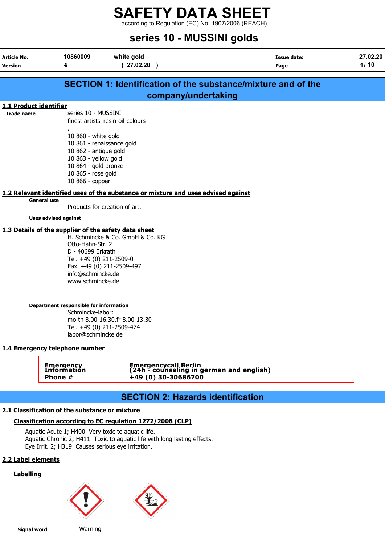according to Regulation (EC) No. 1907/2006 (REACH)

# series 10 - MUSSINI golds

| Article No.                                 | 10860009                                                                                                                                                          | white gold                                                                              | <b>Issue date:</b>                                                   | 27.02.20 |
|---------------------------------------------|-------------------------------------------------------------------------------------------------------------------------------------------------------------------|-----------------------------------------------------------------------------------------|----------------------------------------------------------------------|----------|
| <b>Version</b>                              | 4                                                                                                                                                                 | (27.02.20)                                                                              | Page                                                                 | 1/10     |
|                                             |                                                                                                                                                                   |                                                                                         | <b>SECTION 1: Identification of the substance/mixture and of the</b> |          |
|                                             |                                                                                                                                                                   |                                                                                         |                                                                      |          |
|                                             |                                                                                                                                                                   | company/undertaking                                                                     |                                                                      |          |
| 1.1 Product identifier<br><b>Trade name</b> | series 10 - MUSSINI                                                                                                                                               |                                                                                         |                                                                      |          |
|                                             |                                                                                                                                                                   | finest artists' resin-oil-colours                                                       |                                                                      |          |
|                                             | 10 860 - white gold                                                                                                                                               |                                                                                         |                                                                      |          |
|                                             |                                                                                                                                                                   | 10 861 - renaissance gold                                                               |                                                                      |          |
|                                             | 10 862 - antique gold<br>10 863 - yellow gold                                                                                                                     |                                                                                         |                                                                      |          |
|                                             | 10 864 - gold bronze                                                                                                                                              |                                                                                         |                                                                      |          |
|                                             | 10 865 - rose gold                                                                                                                                                |                                                                                         |                                                                      |          |
|                                             | 10 866 - copper                                                                                                                                                   |                                                                                         |                                                                      |          |
|                                             |                                                                                                                                                                   | 1.2 Relevant identified uses of the substance or mixture and uses advised against       |                                                                      |          |
|                                             | <b>General use</b>                                                                                                                                                | Products for creation of art.                                                           |                                                                      |          |
|                                             | <b>Uses advised against</b>                                                                                                                                       |                                                                                         |                                                                      |          |
|                                             |                                                                                                                                                                   |                                                                                         |                                                                      |          |
|                                             | 1.3 Details of the supplier of the safety data sheet<br>Otto-Hahn-Str. 2<br>D - 40699 Erkrath<br>Tel. +49 (0) 211-2509-0<br>info@schmincke.de<br>www.schmincke.de | H. Schmincke & Co. GmbH & Co. KG<br>Fax. +49 (0) 211-2509-497                           |                                                                      |          |
|                                             | Department responsible for information<br>Schmincke-labor:<br>labor@schmincke.de                                                                                  | mo-th 8.00-16.30, fr 8.00-13.30<br>Tel. +49 (0) 211-2509-474                            |                                                                      |          |
|                                             | 1.4 Emergency telephone number                                                                                                                                    |                                                                                         |                                                                      |          |
|                                             | <b>Emergency</b><br>Information<br>Phone #                                                                                                                        | Emergencycall Berlin<br>(24h - counseling in german and english)<br>+49 (0) 30-30686700 |                                                                      |          |
|                                             |                                                                                                                                                                   | <b>SECTION 2: Hazards identification</b>                                                |                                                                      |          |
|                                             | 2.1 Classification of the substance or mixture                                                                                                                    |                                                                                         |                                                                      |          |
|                                             |                                                                                                                                                                   | Classification according to EC regulation 1272/2008 (CLP)                               |                                                                      |          |
|                                             |                                                                                                                                                                   |                                                                                         |                                                                      |          |

Aquatic Acute 1; H400 Very toxic to aquatic life. Aquatic Chronic 2; H411 Toxic to aquatic life with long lasting effects. Eye Irrit. 2; H319 Causes serious eye irritation.

## 2.2 Label elements

# **Labelling**





**Signal word** Warning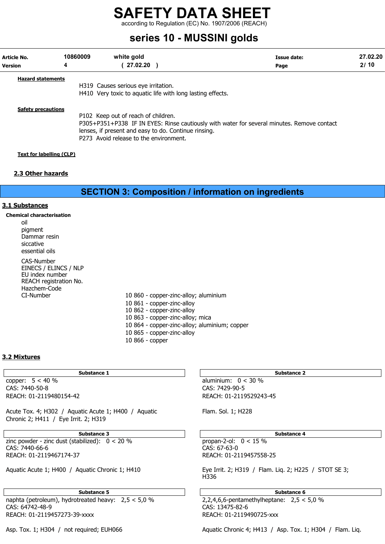according to Regulation (EC) No. 1907/2006 (REACH)

# series 10 - MUSSINI golds

| Article No.<br><b>Version</b> | 10860009<br>4 | white gold<br>27.02.20                                                                                                                | Issue date:<br>Page                                                                        | 27.02.20<br>2/10 |
|-------------------------------|---------------|---------------------------------------------------------------------------------------------------------------------------------------|--------------------------------------------------------------------------------------------|------------------|
| <b>Hazard statements</b>      |               | H319 Causes serious eye irritation.<br>H410 Very toxic to aquatic life with long lasting effects.                                     |                                                                                            |                  |
| <b>Safety precautions</b>     |               | P102 Keep out of reach of children.<br>lenses, if present and easy to do. Continue rinsing.<br>P273 Avoid release to the environment. | P305+P351+P338 IF IN EYES: Rinse cautiously with water for several minutes. Remove contact |                  |

#### Text for labelling (CLP)

#### 2.3 Other hazards

SECTION 3: Composition / information on ingredients

#### 3.1 Substances

Chemical characterisation oil pigment Dammar resin siccative essential oils

> CAS-Number EINECS / ELINCS / NLP EU index number REACH registration No. Hazchem-Code

CI-Number 10 860 - copper-zinc-alloy; aluminium 10 861 - copper-zinc-alloy 10 862 - copper-zinc-alloy 10 863 - copper-zinc-alloy; mica 10 864 - copper-zinc-alloy; aluminium; copper 10 865 - copper-zinc-alloy

10 866 - copper

### 3.2 Mixtures

CAS: 7440-50-8 CAS: 7429-90-5 REACH: 01-2119480154-42 REACH: 01-2119529243-45

Acute Tox. 4; H302 / Aquatic Acute 1; H400 / Aquatic Flam. Sol. 1; H228 Chronic 2; H411 / Eye Irrit. 2; H319

Substance 3 **Substance 4** Substance 4

zinc powder - zinc dust (stabilized):  $0 < 20 \%$  propan-2-ol:  $0 < 15 \%$ CAS: 7440-66-6 CAS: 67-63-0 REACH: 01-2119467174-37 REACH: 01-2119457558-25

Substance 5 Substance 6

naphta (petroleum), hydrotreated heavy: 2,5 < 5,0 % 2,2,4,6,6-pentamethylheptane: 2,5 < 5,0 % CAS: 64742-48-9 CAS: 13475-82-6 REACH: 01-2119457273-39-xxxx REACH: 01-2119490725-xxx

Substance 1 and 2 Substance 2 and 3 Substance 2 and 3 Substance 2 and 3 Substance 2 and 3 Substance 2  $\text{copper: } 5 < 40 \%$ 

Aquatic Acute 1; H400 / Aquatic Chronic 1; H410 Eye Irrit. 2; H319 / Flam. Liq. 2; H225 / STOT SE 3; H336

Asp. Tox. 1; H304 / not required; EUH066 Aquatic Chronic 4; H413 / Asp. Tox. 1; H304 / Flam. Liq.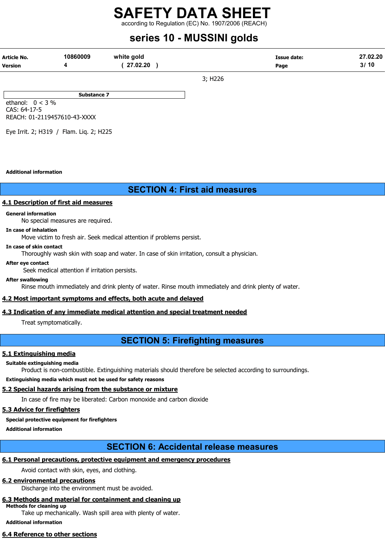according to Regulation (EC) No. 1907/2006 (REACH)

# series 10 - MUSSINI golds

| Article No.    | 10860009 | white gold | Issue date: | 27.02.20 |
|----------------|----------|------------|-------------|----------|
| <b>Version</b> |          | 27.02.20   | Page        | 3/10     |

3; H226

Substance 7

ethanol:  $0 < 3\%$ CAS: 64-17-5 REACH: 01-2119457610-43-XXXX

Eye Irrit. 2; H319 / Flam. Liq. 2; H225

#### Additional information

# SECTION 4: First aid measures

### 4.1 Description of first aid measures

#### General information

No special measures are required.

#### In case of inhalation

Move victim to fresh air. Seek medical attention if problems persist.

#### In case of skin contact

Thoroughly wash skin with soap and water. In case of skin irritation, consult a physician.

#### After eye contact

Seek medical attention if irritation persists.

#### After swallowing

Rinse mouth immediately and drink plenty of water. Rinse mouth immediately and drink plenty of water.

## 4.2 Most important symptoms and effects, both acute and delayed

## 4.3 Indication of any immediate medical attention and special treatment needed

Treat symptomatically.

# SECTION 5: Firefighting measures

### 5.1 Extinguishing media

#### Suitable extinguishing media

Product is non-combustible. Extinguishing materials should therefore be selected according to surroundings.

Extinguishing media which must not be used for safety reasons

# 5.2 Special hazards arising from the substance or mixture

In case of fire may be liberated: Carbon monoxide and carbon dioxide

# 5.3 Advice for firefighters

# Special protective equipment for firefighters

Additional information

# SECTION 6: Accidental release measures

# 6.1 Personal precautions, protective equipment and emergency procedures

Avoid contact with skin, eyes, and clothing.

# 6.2 environmental precautions

Discharge into the environment must be avoided.

#### 6.3 Methods and material for containment and cleaning up Methods for cleaning up

Take up mechanically. Wash spill area with plenty of water.

Additional information

# 6.4 Reference to other sections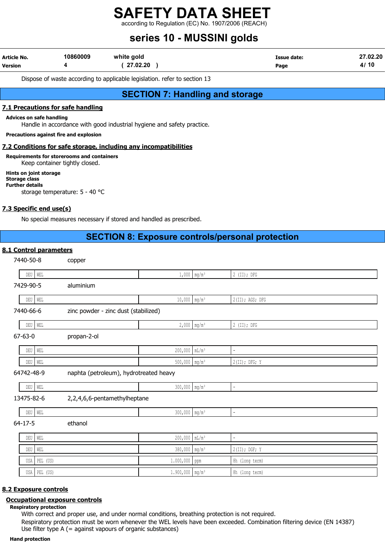according to Regulation (EC) No. 1907/2006 (REACH)

# series 10 - MUSSINI golds

| Article No.    | 10860009 | white gold | <b>Issue date:</b> | 27.02.20 |
|----------------|----------|------------|--------------------|----------|
| <b>Version</b> |          | 27.02.20   | Page               | 4/10     |

Dispose of waste according to applicable legislation. refer to section 13

# SECTION 7: Handling and storage

## 7.1 Precautions for safe handling

#### Advices on safe handling

Handle in accordance with good industrial hygiene and safety practice.

Precautions against fire and explosion

#### 7.2 Conditions for safe storage, including any incompatibilities

Requirements for storerooms and containers

Keep container tightly closed. Hints on joint storage Storage class

Further details

storage temperature: 5 - 40 °C

### 7.3 Specific end use(s)

No special measures necessary if stored and handled as prescribed.

# SECTION 8: Exposure controls/personal protection

#### 8.1 Control parameters

| 7440-50-8       | copper                                 |                               |                           |                          |
|-----------------|----------------------------------------|-------------------------------|---------------------------|--------------------------|
| WEL<br>DEU      |                                        |                               | $1,000 \text{ mg/m}^3$    | $2$ (II); DFG            |
| 7429-90-5       | aluminium                              |                               |                           |                          |
| WEL<br>DEU      |                                        | $10,000$ mg/m <sup>3</sup>    |                           | $2$ (II); AGS; DFG       |
| 7440-66-6       | zinc powder - zinc dust (stabilized)   |                               |                           |                          |
| WEL<br>DEU      |                                        |                               | $2,000$ mg/m <sup>3</sup> | 2 (II); DFG              |
| $67 - 63 - 0$   | propan-2-ol                            |                               |                           |                          |
| WEL<br>DEU      |                                        | $200,000$ $mL/m^3$            |                           | $\overline{\phantom{a}}$ |
| WEL<br>DEU      |                                        | $500,000$ mg/m <sup>3</sup>   |                           | $2(II);$ DFG; Y          |
| 64742-48-9      | naphta (petroleum), hydrotreated heavy |                               |                           |                          |
| DEU WEL         |                                        | 300,000 mg/m <sup>3</sup>     |                           | $\overline{\phantom{a}}$ |
| 13475-82-6      | 2,2,4,6,6-pentamethylheptane           |                               |                           |                          |
| DEU WEL         |                                        | $300,000$ mg/m <sup>3</sup>   |                           | $\overline{\phantom{a}}$ |
| $64 - 17 - 5$   | ethanol                                |                               |                           |                          |
| WEL<br>DEU      |                                        | $200,000$ $mL/m^3$            |                           | ÷,                       |
| DEU<br>WEL      |                                        | 380,000 mg/m <sup>3</sup>     |                           | $2(II);$ DGF; Y          |
| USA<br>PEL (US) |                                        | $1.000,000$ ppm               |                           | 8h (long term)           |
| PEL (US)<br>USA |                                        | $1.900,000$ mg/m <sup>3</sup> |                           | 8h (long term)           |

#### 8.2 Exposure controls

#### Occupational exposure controls

Respiratory protection

With correct and proper use, and under normal conditions, breathing protection is not required.

Respiratory protection must be worn whenever the WEL levels have been exceeded. Combination filtering device (EN 14387) Use filter type A (= against vapours of organic substances)

#### Hand protection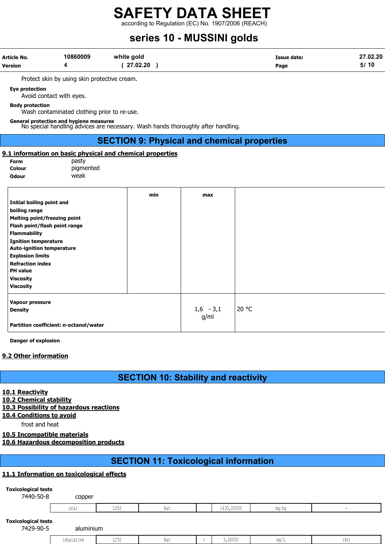according to Regulation (EC) No. 1907/2006 (REACH)

# series 10 - MUSSINI golds

| Article No.<br><b>Version</b>                                                                                                                                                                                                                                                                                                 | 10860009<br>4                                | white gold<br>(27.02.20)                                                                                                    |                     | <b>Issue date:</b><br>Page | 27.02.20<br>5/10 |
|-------------------------------------------------------------------------------------------------------------------------------------------------------------------------------------------------------------------------------------------------------------------------------------------------------------------------------|----------------------------------------------|-----------------------------------------------------------------------------------------------------------------------------|---------------------|----------------------------|------------------|
|                                                                                                                                                                                                                                                                                                                               | Protect skin by using skin protective cream. |                                                                                                                             |                     |                            |                  |
| <b>Eye protection</b>                                                                                                                                                                                                                                                                                                         | Avoid contact with eyes.                     |                                                                                                                             |                     |                            |                  |
| <b>Body protection</b>                                                                                                                                                                                                                                                                                                        | Wash contaminated clothing prior to re-use.  |                                                                                                                             |                     |                            |                  |
|                                                                                                                                                                                                                                                                                                                               |                                              | General protection and hygiene measures<br>No special handling advices are necessary. Wash hands thoroughly after handling. |                     |                            |                  |
|                                                                                                                                                                                                                                                                                                                               |                                              | <b>SECTION 9: Physical and chemical properties</b>                                                                          |                     |                            |                  |
| Form<br><b>Colour</b><br><b>Odour</b>                                                                                                                                                                                                                                                                                         | pasty<br>pigmented<br>weak                   | 9.1 information on basic physical and chemical properties                                                                   |                     |                            |                  |
| Initial boiling point and<br>boiling range<br><b>Melting point/freezing point</b><br>Flash point/flash point range<br><b>Flammability</b><br><b>Ignition temperature</b><br><b>Auto-ignition temperature</b><br><b>Explosion limits</b><br><b>Refraction index</b><br><b>PH</b> value<br><b>Viscosity</b><br><b>Viscosity</b> |                                              | min                                                                                                                         | max                 |                            |                  |
| <b>Vapour pressure</b><br><b>Density</b>                                                                                                                                                                                                                                                                                      | Partition coefficient: n-octanol/water       |                                                                                                                             | $1,6 - 3,1$<br>g/ml | 20 °C                      |                  |
| <b>Danger of explosion</b><br>---                                                                                                                                                                                                                                                                                             |                                              |                                                                                                                             |                     |                            |                  |

## 9.2 Other information

# SECTION 10: Stability and reactivity

## 10.1 Reactivity

- 10.2 Chemical stability
- 10.3 Possibility of hazardous reactions

10.4 Conditions to avoid

frost and heat

## 10.5 Incompatible materials

## 10.6 Hazardous decomposition products

# SECTION 11: Toxicological information

# 11.1 Information on toxicological effects

## Toxicological tests

| $\sim$<br>7440-50-8                     | copper    |      |     |            |       |                          |
|-----------------------------------------|-----------|------|-----|------------|-------|--------------------------|
|                                         | oral      | LD50 | Rat | 1430,00000 | mg/kg | $\overline{\phantom{a}}$ |
| <b>Toxicological tests</b><br>7429-90-5 | aluminium |      |     |            |       |                          |

inhalative LC50 Rat > 5,00000 mg/L (4h)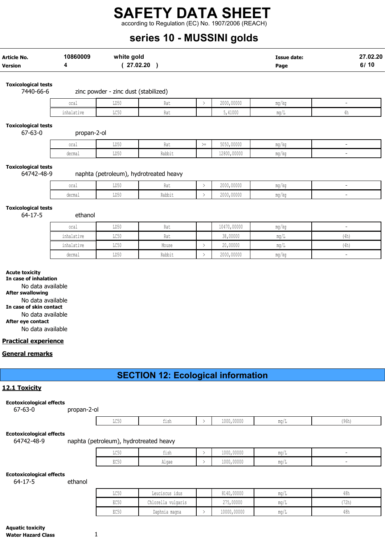according to Regulation (EC) No. 1907/2006 (REACH)

# series 10 - MUSSINI golds

|                                                                                                                                                                                                               |             |                                      | (27.02.20)                                |                              |             | Page                     | 6/10                     |
|---------------------------------------------------------------------------------------------------------------------------------------------------------------------------------------------------------------|-------------|--------------------------------------|-------------------------------------------|------------------------------|-------------|--------------------------|--------------------------|
| <b>Toxicological tests</b><br>7440-66-6                                                                                                                                                                       |             | zinc powder - zinc dust (stabilized) |                                           |                              |             |                          |                          |
|                                                                                                                                                                                                               | oral        | LD50                                 | Rat                                       | $\,>\,$                      | 2000,00000  | mg/kg                    | $\overline{\phantom{a}}$ |
|                                                                                                                                                                                                               | inhalative  | LC50                                 | Rat                                       |                              | 5,41000     | mg/L                     | 4h                       |
| <b>Toxicological tests</b><br>$67 - 63 - 0$                                                                                                                                                                   | propan-2-ol |                                      |                                           |                              |             |                          |                          |
|                                                                                                                                                                                                               | oral        | LD50                                 | Rat                                       | $>=$                         | 5050,00000  | mg/kg                    | $\overline{\phantom{a}}$ |
|                                                                                                                                                                                                               | dermal      | LD50                                 | Rabbit                                    |                              | 12800,00000 | mg/kg                    | $\overline{\phantom{a}}$ |
| <b>Toxicological tests</b><br>64742-48-9                                                                                                                                                                      |             |                                      | naphta (petroleum), hydrotreated heavy    |                              |             |                          |                          |
|                                                                                                                                                                                                               | oral        | LD50                                 | Rat                                       | $\, > \,$                    | 2000,00000  | $mg/kg$                  | $\overline{a}$           |
|                                                                                                                                                                                                               | dermal      | LD50                                 | Rabbit                                    | $\left\langle \right\rangle$ | 2000,00000  | mg/kg                    | $\overline{\phantom{a}}$ |
| <b>Toxicological tests</b><br>$64 - 17 - 5$                                                                                                                                                                   | ethanol     |                                      |                                           |                              |             |                          |                          |
|                                                                                                                                                                                                               | oral        | LD50                                 | Rat                                       |                              | 10470,00000 | mg/kg                    | $\blacksquare$           |
|                                                                                                                                                                                                               | inhalative  | LC50                                 | Rat                                       |                              | 38,00000    | $\rm mg/L$               | (4h)                     |
|                                                                                                                                                                                                               | inhalative  | LC50                                 | Mouse                                     | $\left. \right.$             | 20,00000    | $\mathrm{mg}/\mathrm{L}$ | (4h)                     |
|                                                                                                                                                                                                               | dermal      | LD50                                 | Rabbit                                    | $\,>\,$                      | 2000,00000  | mg/kg                    | $\blacksquare$           |
| <b>Acute toxicity</b><br>In case of inhalation<br>No data available<br><b>After swallowing</b><br>No data available<br>In case of skin contact<br>No data available<br>After eye contact<br>No data available |             |                                      |                                           |                              |             |                          |                          |
| <b>Practical experience</b>                                                                                                                                                                                   |             |                                      |                                           |                              |             |                          |                          |
| <b>General remarks</b>                                                                                                                                                                                        |             |                                      |                                           |                              |             |                          |                          |
|                                                                                                                                                                                                               |             |                                      | <b>SECTION 12: Ecological information</b> |                              |             |                          |                          |
| 12.1 Toxicity                                                                                                                                                                                                 |             |                                      |                                           |                              |             |                          |                          |

#### Ecotoxicological effects 67-63-0 propan-2-ol

| 1000,00000<br>$T \cap E$<br>$-1$<br>.<br>$m \sim$<br>(96h)<br>tısh<br>コマンマ<br>$\frac{1}{2}$ |  |  |  |  |
|---------------------------------------------------------------------------------------------|--|--|--|--|
|                                                                                             |  |  |  |  |

### Ecotoxicological effects

64742-48-9 naphta (petroleum), hydrotreated heavy

| $T \cap E \cap$<br>コワクカ | $-1$<br>tısh<br>ᆂᆂᇦᆄ | 1000,00000      | $m \sim$<br>-шч / ш |  |
|-------------------------|----------------------|-----------------|---------------------|--|
| $P \cap E \cap$<br>凸しつい | Alqae                | 1000,00000<br>. | $m \sim$<br>-шч / ш |  |

#### Ecotoxicological effects

64-17-5 ethanol

| LC50 | Leuciscus idus     | 8140,00000  | $\text{max}/\text{I}$ | 48h  |
|------|--------------------|-------------|-----------------------|------|
| EC50 | Chlorella vulgaris | 275,00000   | mq/                   | '72h |
| EC50 | Daphnia magna      | 10000,00000 | $\text{max}/\text{l}$ | 48h  |

Aquatic toxicity water Hazard Class 1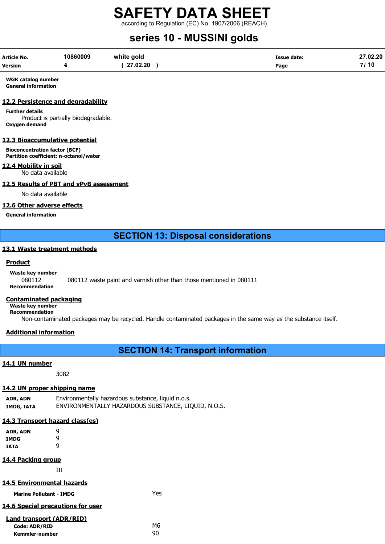according to Regulation (EC) No. 1907/2006 (REACH)

# series 10 - MUSSINI golds

| Article No.    | 10860009 | white gold | <b>Issue date:</b> | 27.02.20 |
|----------------|----------|------------|--------------------|----------|
| <b>Version</b> |          | 27.02.20   | Page               | 7/10     |

WGK catalog number General information

#### 12.2 Persistence and degradability

Further details Product is partially biodegradable. Oxygen demand

### 12.3 Bioaccumulative potential

Bioconcentration factor (BCF) Partition coefficient: n-octanol/water

### 12.4 Mobility in soil

No data available

### 12.5 Results of PBT and vPvB assessment

No data available

#### 12.6 Other adverse effects

General information

# SECTION 13: Disposal considerations

#### 13.1 Waste treatment methods

#### **Product**

Waste key number 080112 080112 waste paint and varnish other than those mentioned in 080111 Recommendation

#### Contaminated packaging

Waste key number Recommendation

Non-contaminated packages may be recycled. Handle contaminated packages in the same way as the substance itself.

## Additional information

SECTION 14: Transport information

#### 14.1 UN number

3082

# 14.2 UN proper shipping name

ADR, ADN Environmentally hazardous substance, liquid n.o.s. IMDG, IATA ENVIRONMENTALLY HAZARDOUS SUBSTANCE, LIQUID, N.O.S.

## 14.3 Transport hazard class(es)

| ADR, ADN | 9 |
|----------|---|
| IMDG     | 9 |
| IATA     | q |

## 14.4 Packing group

III

|  | 14.5 Environmental hazards |  |
|--|----------------------------|--|
|  |                            |  |

Marine Pollutant - IMDG Yes

# 14.6 Special precautions for user

| Land transport (ADR/RID) |    |
|--------------------------|----|
| <b>Code: ADR/RID</b>     | М6 |
| Kemmler-number           | 90 |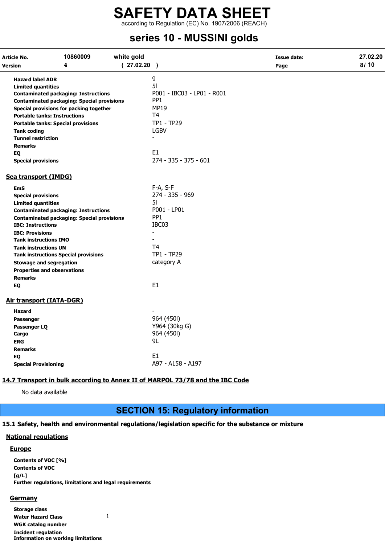according to Regulation (EC) No. 1907/2006 (REACH)

# series 10 - MUSSINI golds

| Article No.<br><b>Version</b>                        | 10860009<br>4                                     | white gold<br>(27.02.20) |                                       | <b>Issue date:</b><br>Page | 27.02.20<br>8/10 |
|------------------------------------------------------|---------------------------------------------------|--------------------------|---------------------------------------|----------------------------|------------------|
| <b>Hazard label ADR</b><br><b>Limited quantities</b> | <b>Contaminated packaging: Instructions</b>       |                          | 9<br>51<br>P001 - IBC03 - LP01 - R001 |                            |                  |
|                                                      | <b>Contaminated packaging: Special provisions</b> |                          | PP <sub>1</sub>                       |                            |                  |
|                                                      | Special provisions for packing together           |                          | MP19                                  |                            |                  |
|                                                      | <b>Portable tanks: Instructions</b>               |                          | T4                                    |                            |                  |
|                                                      | <b>Portable tanks: Special provisions</b>         |                          | TP1 - TP29                            |                            |                  |
| <b>Tank coding</b>                                   |                                                   |                          | <b>LGBV</b><br>$\sim$                 |                            |                  |
| <b>Tunnel restriction</b>                            |                                                   |                          |                                       |                            |                  |
| <b>Remarks</b>                                       |                                                   |                          | E1                                    |                            |                  |
| EQ                                                   |                                                   |                          | 274 - 335 - 375 - 601                 |                            |                  |
| <b>Special provisions</b>                            |                                                   |                          |                                       |                            |                  |
| Sea transport (IMDG)                                 |                                                   |                          |                                       |                            |                  |
| <b>EmS</b>                                           |                                                   |                          | F-A, S-F                              |                            |                  |
| <b>Special provisions</b>                            |                                                   |                          | 274 - 335 - 969                       |                            |                  |
| <b>Limited quantities</b>                            |                                                   |                          | 51                                    |                            |                  |
|                                                      | <b>Contaminated packaging: Instructions</b>       |                          | P001 - LP01                           |                            |                  |
|                                                      | <b>Contaminated packaging: Special provisions</b> |                          | PP <sub>1</sub>                       |                            |                  |
| <b>IBC: Instructions</b>                             |                                                   |                          | IBC03                                 |                            |                  |
| <b>IBC: Provisions</b>                               |                                                   |                          | $\blacksquare$                        |                            |                  |
| <b>Tank instructions IMO</b>                         |                                                   |                          |                                       |                            |                  |
| <b>Tank instructions UN</b>                          |                                                   |                          | T4                                    |                            |                  |
|                                                      | <b>Tank instructions Special provisions</b>       |                          | TP1 - TP29                            |                            |                  |
| <b>Stowage and segregation</b>                       |                                                   |                          | category A                            |                            |                  |
|                                                      | <b>Properties and observations</b>                |                          |                                       |                            |                  |
| <b>Remarks</b>                                       |                                                   |                          |                                       |                            |                  |
| EQ                                                   |                                                   |                          | E1                                    |                            |                  |
| <b>Air transport (IATA-DGR)</b>                      |                                                   |                          |                                       |                            |                  |
| Hazard                                               |                                                   |                          |                                       |                            |                  |
| <b>Passenger</b>                                     |                                                   |                          | 964 (450l)                            |                            |                  |
| Passenger LQ                                         |                                                   |                          | Y964 (30kg G)                         |                            |                  |
| Cargo                                                |                                                   |                          | 964 (450I)                            |                            |                  |
| <b>ERG</b>                                           |                                                   |                          | 9L                                    |                            |                  |
| <b>Remarks</b>                                       |                                                   |                          |                                       |                            |                  |
| EQ                                                   |                                                   |                          | E1                                    |                            |                  |
| <b>Special Provisioning</b>                          |                                                   |                          | A97 - A158 - A197                     |                            |                  |

# 14.7 Transport in bulk according to Annex II of MARPOL 73/78 and the IBC Code

No data available

# SECTION 15: Regulatory information

# 15.1 Safety, health and environmental regulations/legislation specific for the substance or mixture

# National regulations

## **Europe**

Contents of VOC [%] Contents of VOC [g/L] Further regulations, limitations and legal requirements

## **Germany**

Storage class Water Hazard Class 1 WGK catalog number Incident regulation Information on working limitations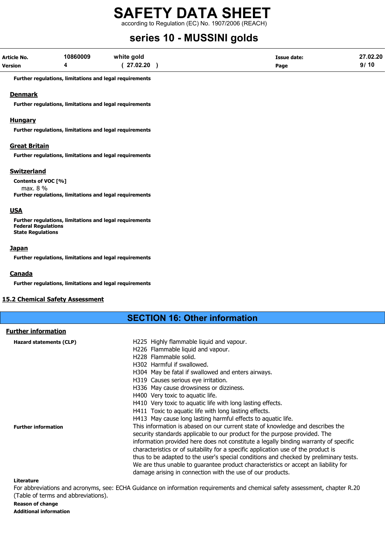according to Regulation (EC) No. 1907/2006 (REACH)

# series 10 - MUSSINI golds

| Article No.    | 10860009 | white gold | <b>Issue date:</b> | 27.02.20 |
|----------------|----------|------------|--------------------|----------|
| <b>Version</b> |          | 27.02.20   | Page               | 9/10     |

Further regulations, limitations and legal requirements

#### Denmark

Further regulations, limitations and legal requirements

#### **Hungary**

Further regulations, limitations and legal requirements

#### Great Britain

Further regulations, limitations and legal requirements

#### **Switzerland**

Contents of VOC [%] max. 8 % Further regulations, limitations and legal requirements

## **USA**

Further regulations, limitations and legal requirements Federal Regulations State Regulations

#### **Japan**

Further regulations, limitations and legal requirements

#### Canada

Further regulations, limitations and legal requirements

#### 15.2 Chemical Safety Assessment

# SECTION 16: Other information

| <b>Further information</b> |
|----------------------------|
|                            |

| Hazard statements (CLP)    | H225 Highly flammable liquid and vapour.                                              |
|----------------------------|---------------------------------------------------------------------------------------|
|                            | H226 Flammable liquid and vapour.                                                     |
|                            | H <sub>228</sub> Flammable solid.                                                     |
|                            | H302 Harmful if swallowed.                                                            |
|                            | H304 May be fatal if swallowed and enters airways.                                    |
|                            | H319 Causes serious eye irritation.                                                   |
|                            | H336 May cause drowsiness or dizziness.                                               |
|                            | H400 Very toxic to aguatic life.                                                      |
|                            | H410 Very toxic to aquatic life with long lasting effects.                            |
|                            | H411 Toxic to aquatic life with long lasting effects.                                 |
|                            | H413 May cause long lasting harmful effects to aquatic life.                          |
| <b>Further information</b> | This information is abased on our current state of knowledge and describes the        |
|                            | security standards applicable to our product for the purpose provided. The            |
|                            | information provided here does not constitute a legally binding warranty of specific  |
|                            | characteristics or of suitability for a specific application use of the product is    |
|                            | thus to be adapted to the user's special conditions and checked by preliminary tests. |
|                            | We are thus unable to guarantee product characteristics or accept an liability for    |
|                            | damage arising in connection with the use of our products.                            |

#### Literature

For abbreviations and acronyms, see: ECHA Guidance on information requirements and chemical safety assessment, chapter R.20 (Table of terms and abbreviations).

# Reason of change

Additional information